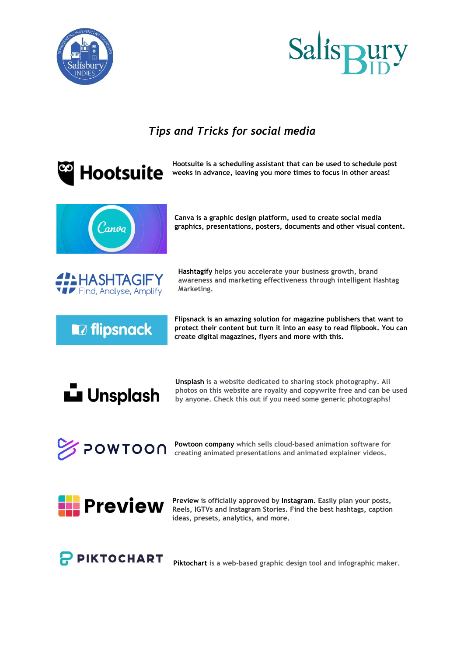



## *Tips and Tricks for social media*





**Preview is officially approved by Instagram. Easily plan your posts, Reels, IGTVs and Instagram Stories. Find the best hashtags, caption ideas, presets, analytics, and more.**



**Piktochart is a web-based graphic design tool and infographic maker.**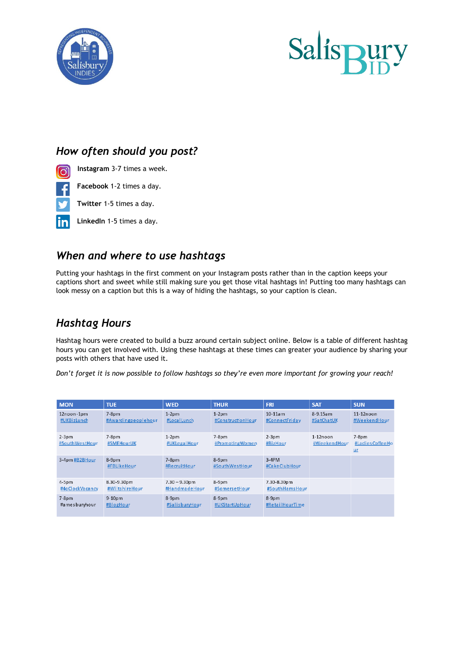



#### *How often should you post?*

- **Instagram** 3-7 times a week. <u>ေ</u>
	- **Facebook** 1-2 times a day.
	- **Twitter** 1-5 times a day.
- **LinkedIn** 1-5 times a day. lin

#### *When and where to use hashtags*

Putting your hashtags in the first comment on your Instagram posts rather than in the caption keeps your captions short and sweet while still making sure you get those vital hashtags in! Putting too many hashtags can look messy on a caption but this is a way of hiding the hashtags, so your caption is clean.

#### *Hashtag Hours*

Hashtag hours were created to build a buzz around certain subject online. Below is a table of different hashtag hours you can get involved with. Using these hashtags at these times can greater your audience by sharing your posts with others that have used it.

*Don't forget it is now possible to follow hashtags so they're even more important for growing your reach!* 

| <b>MON</b>                 | <b>TUE</b>                      | <b>WED</b>                        | <b>THUR</b>                  | <b>FRI</b>                    | <b>SAT</b>                 | <b>SUN</b>                       |
|----------------------------|---------------------------------|-----------------------------------|------------------------------|-------------------------------|----------------------------|----------------------------------|
| 12noon-1pm<br>#UKBizLunch  | $7-8$ pm<br>#Awardingpeoplehour | $1-2pm$<br>#LocalLunch            | $1-2pm$<br>#ConstructionHour | $10-11$ am<br>#ConnectFriday  | 8-9.15am<br>#SatChatUK     | $11-12$ noon<br>#WeekendHour     |
| $2-3$ pm<br>#SouthWestHour | $7-8pm$<br>#SMEHourUK           | $1-2pm$<br>#UKLegalHour           | $7-8pm$<br>#PromotingWomen   | $2-3pm$<br>#BizHour           | $1-12noon$<br>#WeekendHour | $7-8Dm$<br>#LadiesCoffeeHo<br>ur |
| 3-4pm #B2BHour             | $8-9$ pm<br>#FBLikeHour         | $7-8Dm$<br>#RecruitHour           | $8-9$ pm<br>#SouthWestHour   | $3-4PM$<br>#CakeClubHour      |                            |                                  |
| $4-5pm$<br>#4oClockVacancy | 8.30-9.30pm<br>#WiltshireHour   | $7.30 - 9.30$ pm<br>#HandmadeHour | $8-9pm$<br>#SomersetHour     | 7.30-8.30pm<br>#SouthHamsHour |                            |                                  |
| $7-8p$ m<br>#amesburyhour  | $9-10$ pm<br>#BlogHour          | $8-9$ pm<br>#SalisburyHour        | $8-9$ pm<br>#UKStartUpHour   | $8-9$ pm<br>#RetailHourTime   |                            |                                  |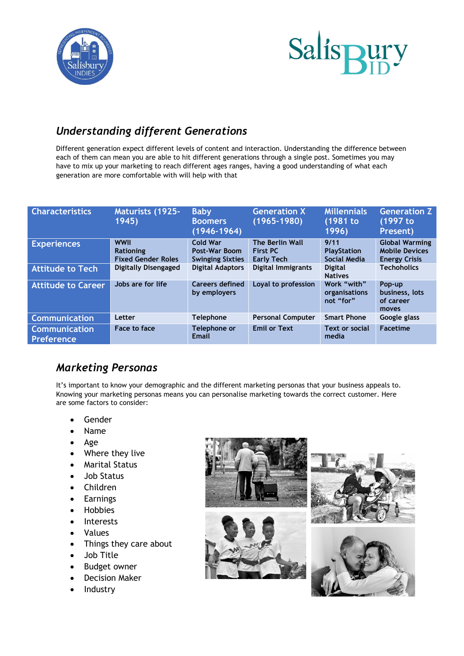



### *Understanding different Generations*

Different generation expect different levels of content and interaction. Understanding the difference between each of them can mean you are able to hit different generations through a single post. Sometimes you may have to mix up your marketing to reach different ages ranges, having a good understanding of what each generation are more comfortable with will help with that

| <b>Characteristics</b>             | <b>Maturists (1925-</b><br>1945)                             | <b>Baby</b><br><b>Boomers</b><br>$(1946 - 1964)$            | <b>Generation X</b><br>$(1965 - 1980)$                  | <b>Millennials</b><br>(1981 to<br>1996)           | <b>Generation Z</b><br>(1997 to<br>Present)                            |
|------------------------------------|--------------------------------------------------------------|-------------------------------------------------------------|---------------------------------------------------------|---------------------------------------------------|------------------------------------------------------------------------|
| <b>Experiences</b>                 | <b>WWII</b><br><b>Rationing</b><br><b>Fixed Gender Roles</b> | <b>Cold War</b><br>Post-War Boom<br><b>Swinging Sixties</b> | The Berlin Wall<br><b>First PC</b><br><b>Early Tech</b> | 9/11<br><b>PlayStation</b><br><b>Social Media</b> | <b>Global Warming</b><br><b>Mobile Devices</b><br><b>Energy Crisis</b> |
| <b>Attitude to Tech</b>            | Digitally Disengaged                                         | <b>Digital Adaptors</b>                                     | Digital Immigrants                                      | <b>Digital</b><br><b>Natives</b>                  | <b>Techoholics</b>                                                     |
| <b>Attitude to Career</b>          | Jobs are for life                                            | <b>Careers defined</b><br>by employers                      | Loyal to profession                                     | Work "with"<br>organisations<br>not "for"         | Pop-up<br>business, lots<br>of career<br>moves                         |
| <b>Communication</b>               | Letter                                                       | <b>Telephone</b>                                            | <b>Personal Computer</b>                                | <b>Smart Phone</b>                                | Google glass                                                           |
| <b>Communication</b><br>Preference | Face to face                                                 | Telephone or<br>Email                                       | <b>Emil or Text</b>                                     | Text or social<br>media                           | <b>Facetime</b>                                                        |

### *Marketing Personas*

It's important to know your demographic and the different marketing personas that your business appeals to. Knowing your marketing personas means you can personalise marketing towards the correct customer. Here are some factors to consider:

- Gender
- Name
- Age
- Where they live
- Marital Status
- Job Status
- Children
- Earnings
- Hobbies
- Interests
- Values
- Things they care about
- Job Title
- Budget owner
- Decision Maker
- Industry